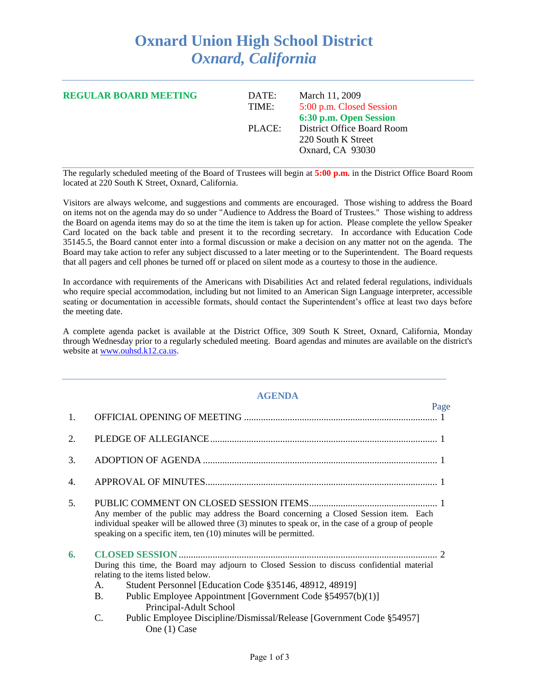## **Oxnard Union High School District** *Oxnard, California*

| <b>REGULAR BOARD MEETING</b> | March 11, 2009<br>DATE:<br>5:00 p.m. Closed Session<br>TIME:<br>6:30 p.m. Open Session |                                                                      |
|------------------------------|----------------------------------------------------------------------------------------|----------------------------------------------------------------------|
|                              | PLACE:                                                                                 | District Office Board Room<br>220 South K Street<br>Oxnard, CA 93030 |

The regularly scheduled meeting of the Board of Trustees will begin at **5:00 p.m.** in the District Office Board Room located at 220 South K Street, Oxnard, California.

Visitors are always welcome, and suggestions and comments are encouraged. Those wishing to address the Board on items not on the agenda may do so under "Audience to Address the Board of Trustees." Those wishing to address the Board on agenda items may do so at the time the item is taken up for action. Please complete the yellow Speaker Card located on the back table and present it to the recording secretary. In accordance with Education Code 35145.5, the Board cannot enter into a formal discussion or make a decision on any matter not on the agenda. The Board may take action to refer any subject discussed to a later meeting or to the Superintendent. The Board requests that all pagers and cell phones be turned off or placed on silent mode as a courtesy to those in the audience.

In accordance with requirements of the Americans with Disabilities Act and related federal regulations, individuals who require special accommodation, including but not limited to an American Sign Language interpreter, accessible seating or documentation in accessible formats, should contact the Superintendent's office at least two days before the meeting date.

A complete agenda packet is available at the District Office, 309 South K Street, Oxnard, California, Monday through Wednesday prior to a regularly scheduled meeting. Board agendas and minutes are available on the district's website at [www.ouhsd.k12.ca.us.](http://www.ouhsd.k12.ca.us/)

## **AGENDA**

|                |                                                                                                                                                                                                                                                                                                         |                                                                                       | Page |
|----------------|---------------------------------------------------------------------------------------------------------------------------------------------------------------------------------------------------------------------------------------------------------------------------------------------------------|---------------------------------------------------------------------------------------|------|
| $\mathbf{1}$ . |                                                                                                                                                                                                                                                                                                         |                                                                                       |      |
| 2.             |                                                                                                                                                                                                                                                                                                         |                                                                                       |      |
| 3.             |                                                                                                                                                                                                                                                                                                         |                                                                                       |      |
| 4.             |                                                                                                                                                                                                                                                                                                         |                                                                                       |      |
| 5.             | Any member of the public may address the Board concerning a Closed Session item. Each<br>individual speaker will be allowed three (3) minutes to speak or, in the case of a group of people<br>speaking on a specific item, ten (10) minutes will be permitted.                                         |                                                                                       |      |
| 6.             | During this time, the Board may adjourn to Closed Session to discuss confidential material<br>relating to the items listed below.<br>Student Personnel [Education Code §35146, 48912, 48919]<br>A.<br><b>B.</b><br>Public Employee Appointment [Government Code §54957(b)(1)]<br>Principal-Adult School |                                                                                       |      |
|                | C.                                                                                                                                                                                                                                                                                                      | Public Employee Discipline/Dismissal/Release [Government Code §54957]<br>One (1) Case |      |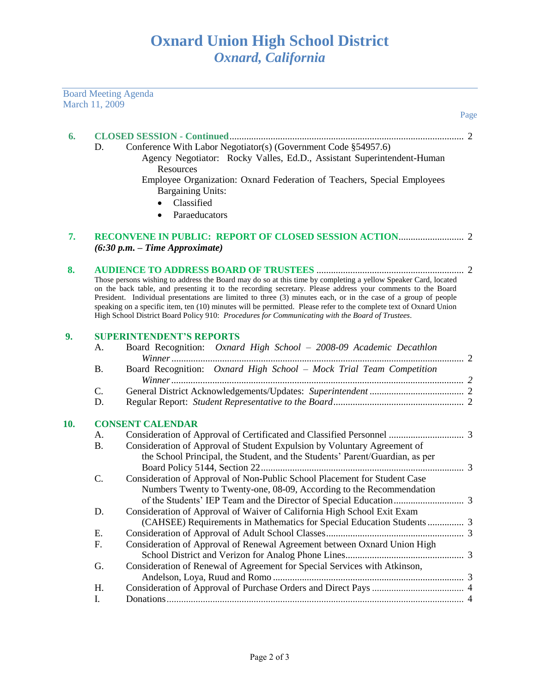|     |                | <b>Board Meeting Agenda</b>                                                                                        |      |
|-----|----------------|--------------------------------------------------------------------------------------------------------------------|------|
|     | March 11, 2009 |                                                                                                                    | Page |
|     |                |                                                                                                                    |      |
| 6.  |                |                                                                                                                    |      |
|     | D.             | Conference With Labor Negotiator(s) (Government Code §54957.6)                                                     |      |
|     |                | Agency Negotiator: Rocky Valles, Ed.D., Assistant Superintendent-Human                                             |      |
|     |                | Resources                                                                                                          |      |
|     |                | Employee Organization: Oxnard Federation of Teachers, Special Employees                                            |      |
|     |                | <b>Bargaining Units:</b>                                                                                           |      |
|     |                | Classified                                                                                                         |      |
|     |                | Paraeducators                                                                                                      |      |
| 7.  |                |                                                                                                                    |      |
|     |                | $(6:30 p.m. - Time Approximate)$                                                                                   |      |
|     |                |                                                                                                                    |      |
| 8.  |                | Those persons wishing to address the Board may do so at this time by completing a yellow Speaker Card, located     |      |
|     |                | on the back table, and presenting it to the recording secretary. Please address your comments to the Board         |      |
|     |                | President. Individual presentations are limited to three (3) minutes each, or in the case of a group of people     |      |
|     |                | speaking on a specific item, ten (10) minutes will be permitted. Please refer to the complete text of Oxnard Union |      |
|     |                | High School District Board Policy 910: Procedures for Communicating with the Board of Trustees.                    |      |
| 9.  |                | <b>SUPERINTENDENT'S REPORTS</b>                                                                                    |      |
|     | Α.             | Board Recognition: Oxnard High School - 2008-09 Academic Decathlon                                                 |      |
|     |                |                                                                                                                    |      |
|     | <b>B.</b>      | Board Recognition: Oxnard High School - Mock Trial Team Competition                                                |      |
|     |                |                                                                                                                    |      |
|     | C.             |                                                                                                                    |      |
|     | D.             |                                                                                                                    |      |
| 10. |                | <b>CONSENT CALENDAR</b>                                                                                            |      |
|     | A.             |                                                                                                                    |      |
|     | <b>B.</b>      | Consideration of Approval of Student Expulsion by Voluntary Agreement of                                           |      |
|     |                | the School Principal, the Student, and the Students' Parent/Guardian, as per                                       |      |
|     |                |                                                                                                                    |      |
|     | C.             | Consideration of Approval of Non-Public School Placement for Student Case                                          |      |
|     |                | Numbers Twenty to Twenty-one, 08-09, According to the Recommendation                                               |      |
|     |                |                                                                                                                    |      |
|     | D.             | Consideration of Approval of Waiver of California High School Exit Exam                                            |      |
|     |                | (CAHSEE) Requirements in Mathematics for Special Education Students  3                                             |      |
|     | E.             |                                                                                                                    |      |
|     | F.             | Consideration of Approval of Renewal Agreement between Oxnard Union High                                           |      |
|     |                |                                                                                                                    |      |
|     | G.             | Consideration of Renewal of Agreement for Special Services with Atkinson,                                          |      |
|     |                |                                                                                                                    |      |
|     | Η.             |                                                                                                                    |      |
|     | I.             |                                                                                                                    |      |